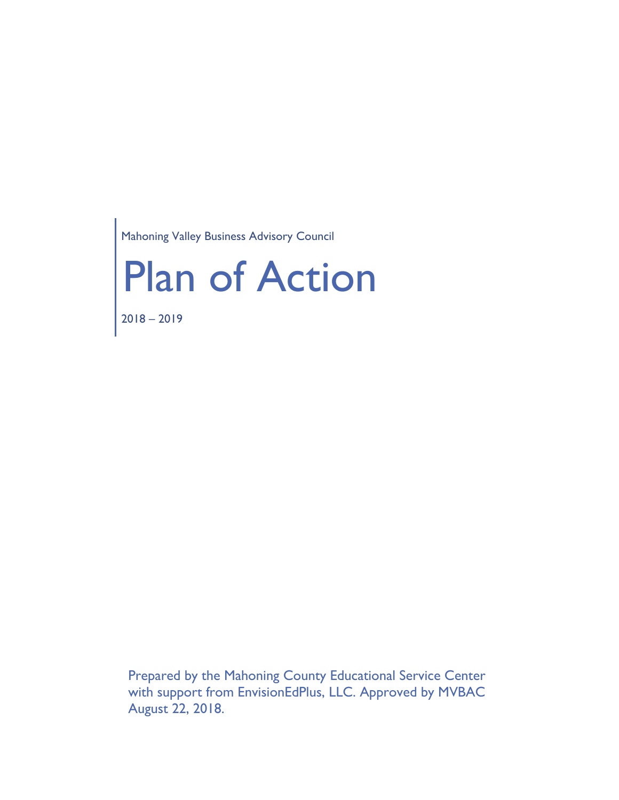Mahoning Valley Business Advisory Council



2018 – 2019

Prepared by the Mahoning County Educational Service Center with support from EnvisionEdPlus, LLC. Approved by MVBAC August 22, 2018.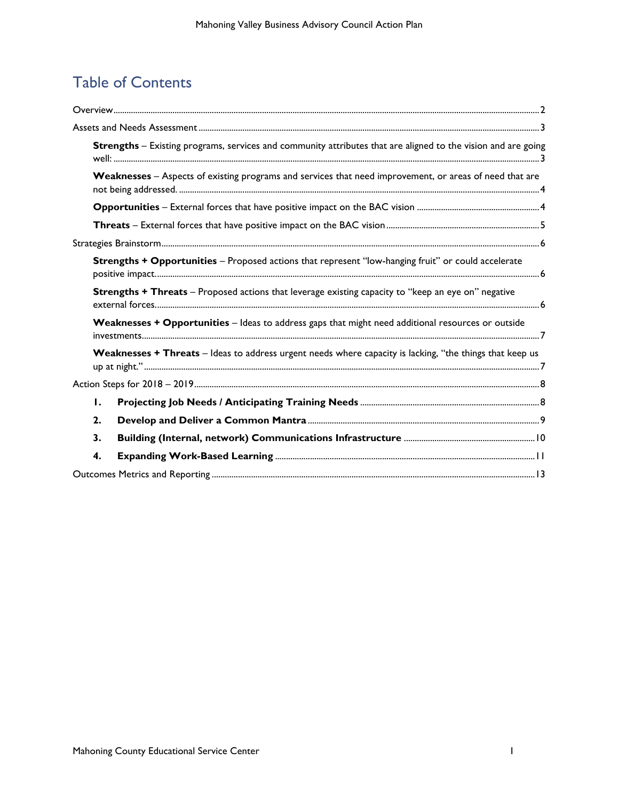# Table of Contents

|    | Strengths - Existing programs, services and community attributes that are aligned to the vision and are going |
|----|---------------------------------------------------------------------------------------------------------------|
|    | Weaknesses - Aspects of existing programs and services that need improvement, or areas of need that are       |
|    |                                                                                                               |
|    |                                                                                                               |
|    |                                                                                                               |
|    | <b>Strengths + Opportunities</b> – Proposed actions that represent "low-hanging fruit" or could accelerate    |
|    | <b>Strengths + Threats</b> – Proposed actions that leverage existing capacity to "keep an eye on" negative    |
|    | Weaknesses + Opportunities - Ideas to address gaps that might need additional resources or outside            |
|    | Weaknesses + Threats - Ideas to address urgent needs where capacity is lacking, "the things that keep us      |
|    |                                                                                                               |
| Ι. |                                                                                                               |
| 2. |                                                                                                               |
| 3. |                                                                                                               |
| 4. |                                                                                                               |
|    |                                                                                                               |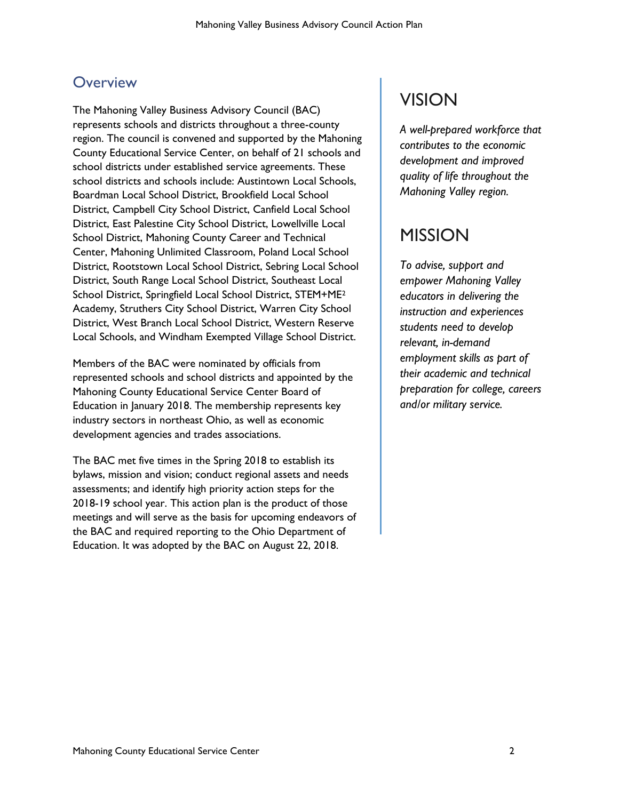## <span id="page-2-0"></span>**Overview**

The Mahoning Valley Business Advisory Council (BAC) represents schools and districts throughout a three-county region. The council is convened and supported by the Mahoning County Educational Service Center, on behalf of 21 schools and school districts under established service agreements. These school districts and schools include: Austintown Local Schools, Boardman Local School District, Brookfield Local School District, Campbell City School District, Canfield Local School District, East Palestine City School District, Lowellville Local School District, Mahoning County Career and Technical Center, Mahoning Unlimited Classroom, Poland Local School District, Rootstown Local School District, Sebring Local School District, South Range Local School District, Southeast Local School District, Springfield Local School District, STEM+ME<sup>2</sup> Academy, Struthers City School District, Warren City School District, West Branch Local School District, Western Reserve Local Schools, and Windham Exempted Village School District.

Members of the BAC were nominated by officials from represented schools and school districts and appointed by the Mahoning County Educational Service Center Board of Education in January 2018. The membership represents key industry sectors in northeast Ohio, as well as economic development agencies and trades associations.

The BAC met five times in the Spring 2018 to establish its bylaws, mission and vision; conduct regional assets and needs assessments; and identify high priority action steps for the 2018-19 school year. This action plan is the product of those meetings and will serve as the basis for upcoming endeavors of the BAC and required reporting to the Ohio Department of Education. It was adopted by the BAC on August 22, 2018.

# VISION

*A well-prepared workforce that contributes to the economic development and improved quality of life throughout the Mahoning Valley region.*

# MISSION

*To advise, support and empower Mahoning Valley educators in delivering the instruction and experiences students need to develop relevant, in-demand employment skills as part of their academic and technical preparation for college, careers and/or military service.*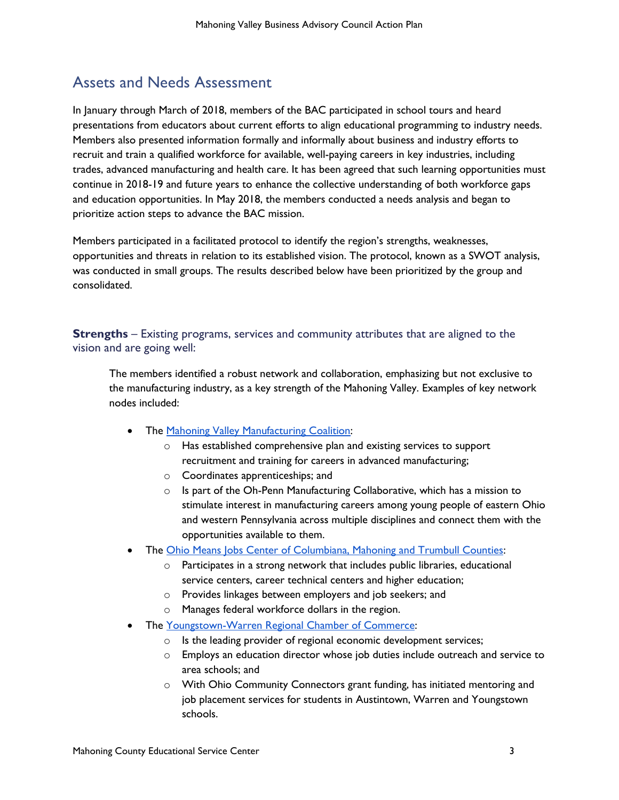# <span id="page-3-0"></span>Assets and Needs Assessment

In January through March of 2018, members of the BAC participated in school tours and heard presentations from educators about current efforts to align educational programming to industry needs. Members also presented information formally and informally about business and industry efforts to recruit and train a qualified workforce for available, well-paying careers in key industries, including trades, advanced manufacturing and health care. It has been agreed that such learning opportunities must continue in 2018-19 and future years to enhance the collective understanding of both workforce gaps and education opportunities. In May 2018, the members conducted a needs analysis and began to prioritize action steps to advance the BAC mission.

Members participated in a facilitated protocol to identify the region's strengths, weaknesses, opportunities and threats in relation to its established vision. The protocol, known as a SWOT analysis, was conducted in small groups. The results described below have been prioritized by the group and consolidated.

<span id="page-3-1"></span>**Strengths** – Existing programs, services and community attributes that are aligned to the vision and are going well:

The members identified a robust network and collaboration, emphasizing but not exclusive to the manufacturing industry, as a key strength of the Mahoning Valley. Examples of key network nodes included:

- The [Mahoning Valley Manufacturing Coalition:](http://www.industryneedsyou.com/about-us/mvmc/)
	- o Has established comprehensive plan and existing services to support recruitment and training for careers in advanced manufacturing;
	- o Coordinates apprenticeships; and
	- $\circ$  Is part of the Oh-Penn Manufacturing Collaborative, which has a mission to stimulate interest in manufacturing careers among young people of eastern Ohio and western Pennsylvania across multiple disciplines and connect them with the opportunities available to them.
- The [Ohio Means Jobs Center of Columbiana, Mahoning and Trumbull Counties:](https://www.onestopohio.org/oneflow/home.aspx)
	- o Participates in a strong network that includes public libraries, educational service centers, career technical centers and higher education;
	- o Provides linkages between employers and job seekers; and
	- o Manages federal workforce dollars in the region.
- The [Youngstown-Warren Regional Chamber of Commerce:](http://www.regionalchamber.com/)
	- o Is the leading provider of regional economic development services;
	- o Employs an education director whose job duties include outreach and service to area schools; and
	- $\circ$  With Ohio Community Connectors grant funding, has initiated mentoring and job placement services for students in Austintown, Warren and Youngstown schools.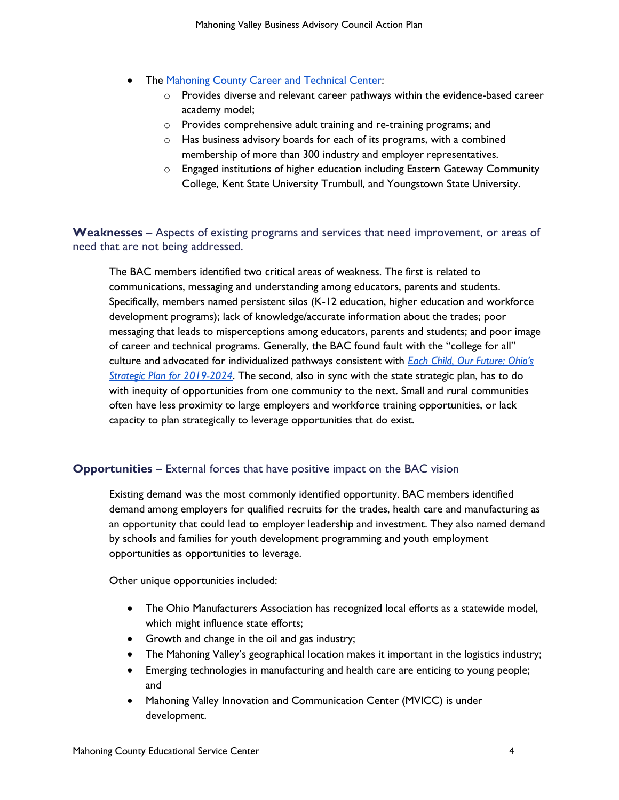- The [Mahoning County Career and Technical Center:](https://mahoningctc.com/)
	- o Provides diverse and relevant career pathways within the evidence-based career academy model;
	- o Provides comprehensive adult training and re-training programs; and
	- o Has business advisory boards for each of its programs, with a combined membership of more than 300 industry and employer representatives.
	- o Engaged institutions of higher education including Eastern Gateway Community College, Kent State University Trumbull, and Youngstown State University.

<span id="page-4-0"></span>**Weaknesses** – Aspects of existing programs and services that need improvement, or areas of need that are not being addressed.

The BAC members identified two critical areas of weakness. The first is related to communications, messaging and understanding among educators, parents and students. Specifically, members named persistent silos (K-12 education, higher education and workforce development programs); lack of knowledge/accurate information about the trades; poor messaging that leads to misperceptions among educators, parents and students; and poor image of career and technical programs. Generally, the BAC found fault with the "college for all" culture and advocated for individualized pathways consistent with *[Each Child, Our Future: Ohio's](http://education.ohio.gov/getattachment/About/Ohios-Strategic-Plan-for-Education/Final-Strategic-Plan-Board-Approved.pdf.aspx?lang=en-US)  [Strategic Plan for 2019-2024](http://education.ohio.gov/getattachment/About/Ohios-Strategic-Plan-for-Education/Final-Strategic-Plan-Board-Approved.pdf.aspx?lang=en-US)*. The second, also in sync with the state strategic plan, has to do with inequity of opportunities from one community to the next. Small and rural communities often have less proximity to large employers and workforce training opportunities, or lack capacity to plan strategically to leverage opportunities that do exist.

## <span id="page-4-1"></span>**Opportunities** – External forces that have positive impact on the BAC vision

Existing demand was the most commonly identified opportunity. BAC members identified demand among employers for qualified recruits for the trades, health care and manufacturing as an opportunity that could lead to employer leadership and investment. They also named demand by schools and families for youth development programming and youth employment opportunities as opportunities to leverage.

Other unique opportunities included:

- The Ohio Manufacturers Association has recognized local efforts as a statewide model, which might influence state efforts;
- Growth and change in the oil and gas industry;
- The Mahoning Valley's geographical location makes it important in the logistics industry;
- Emerging technologies in manufacturing and health care are enticing to young people; and
- Mahoning Valley Innovation and Communication Center (MVICC) is under development.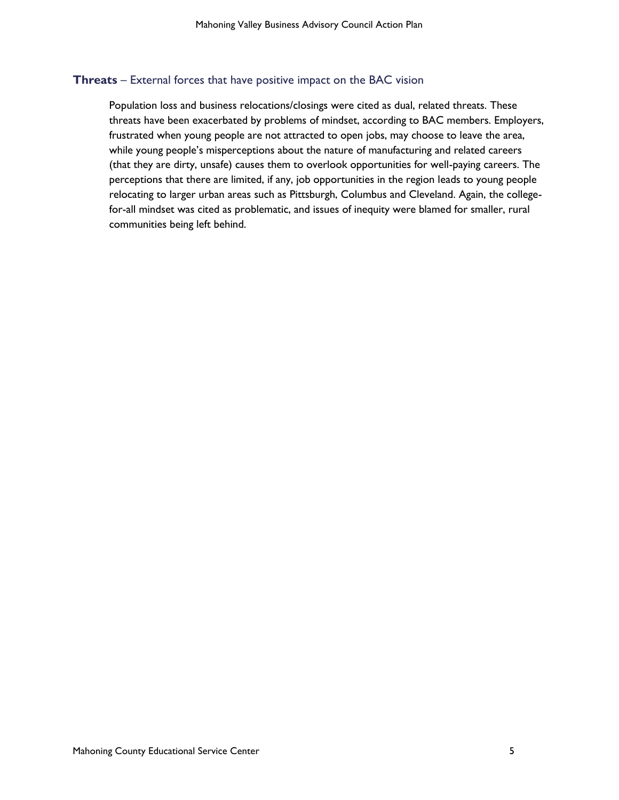### <span id="page-5-0"></span>**Threats** – External forces that have positive impact on the BAC vision

Population loss and business relocations/closings were cited as dual, related threats. These threats have been exacerbated by problems of mindset, according to BAC members. Employers, frustrated when young people are not attracted to open jobs, may choose to leave the area, while young people's misperceptions about the nature of manufacturing and related careers (that they are dirty, unsafe) causes them to overlook opportunities for well-paying careers. The perceptions that there are limited, if any, job opportunities in the region leads to young people relocating to larger urban areas such as Pittsburgh, Columbus and Cleveland. Again, the collegefor-all mindset was cited as problematic, and issues of inequity were blamed for smaller, rural communities being left behind.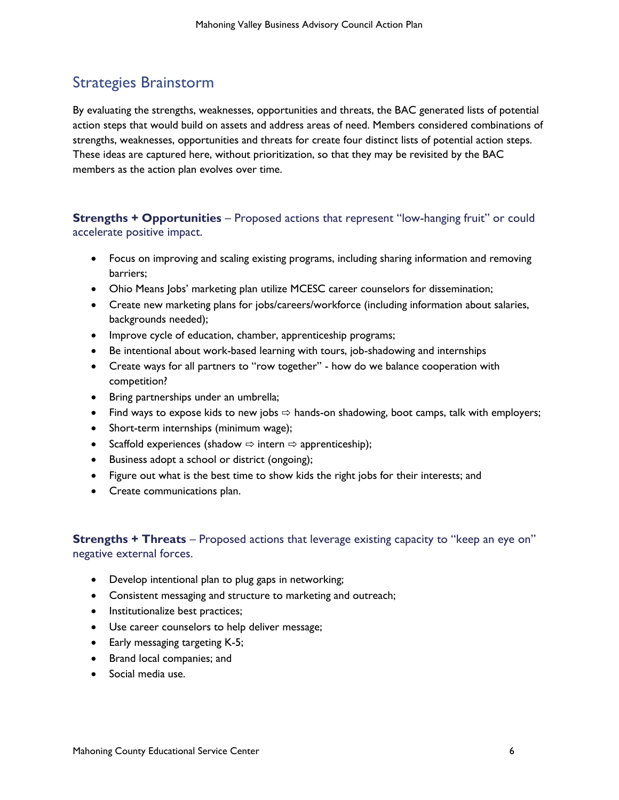# <span id="page-6-0"></span>Strategies Brainstorm

By evaluating the strengths, weaknesses, opportunities and threats, the BAC generated lists of potential action steps that would build on assets and address areas of need. Members considered combinations of strengths, weaknesses, opportunities and threats for create four distinct lists of potential action steps. These ideas are captured here, without prioritization, so that they may be revisited by the BAC members as the action plan evolves over time.

<span id="page-6-1"></span>**Strengths + Opportunities** – Proposed actions that represent "low-hanging fruit" or could accelerate positive impact.

- Focus on improving and scaling existing programs, including sharing information and removing barriers;
- Ohio Means Jobs' marketing plan utilize MCESC career counselors for dissemination;
- Create new marketing plans for jobs/careers/workforce (including information about salaries, backgrounds needed);
- Improve cycle of education, chamber, apprenticeship programs;
- Be intentional about work-based learning with tours, job-shadowing and internships
- Create ways for all partners to "row together" how do we balance cooperation with competition?
- Bring partnerships under an umbrella;
- Find ways to expose kids to new jobs  $\Rightarrow$  hands-on shadowing, boot camps, talk with employers;
- Short-term internships (minimum wage);
- Scaffold experiences (shadow  $\Rightarrow$  intern  $\Rightarrow$  apprenticeship);
- Business adopt a school or district (ongoing);
- Figure out what is the best time to show kids the right jobs for their interests; and
- Create communications plan.

<span id="page-6-2"></span>**Strengths + Threats** – Proposed actions that leverage existing capacity to "keep an eye on" negative external forces.

- Develop intentional plan to plug gaps in networking;
- Consistent messaging and structure to marketing and outreach;
- Institutionalize best practices;
- Use career counselors to help deliver message;
- Early messaging targeting K-5;
- Brand local companies; and
- Social media use.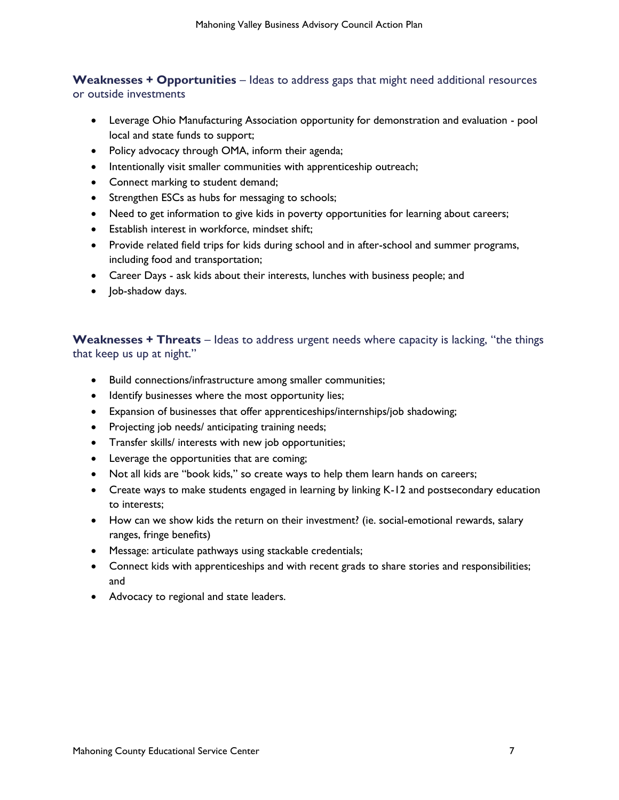<span id="page-7-0"></span>**Weaknesses + Opportunities** – Ideas to address gaps that might need additional resources or outside investments

- Leverage Ohio Manufacturing Association opportunity for demonstration and evaluation pool local and state funds to support;
- Policy advocacy through OMA, inform their agenda;
- Intentionally visit smaller communities with apprenticeship outreach;
- Connect marking to student demand;
- Strengthen ESCs as hubs for messaging to schools;
- Need to get information to give kids in poverty opportunities for learning about careers;
- Establish interest in workforce, mindset shift;
- Provide related field trips for kids during school and in after-school and summer programs, including food and transportation;
- Career Days ask kids about their interests, lunches with business people; and
- **Job-shadow days.**

<span id="page-7-1"></span>**Weaknesses + Threats** – Ideas to address urgent needs where capacity is lacking, "the things that keep us up at night."

- Build connections/infrastructure among smaller communities;
- Identify businesses where the most opportunity lies;
- Expansion of businesses that offer apprenticeships/internships/job shadowing;
- Projecting job needs/ anticipating training needs;
- Transfer skills/ interests with new job opportunities;
- Leverage the opportunities that are coming;
- Not all kids are "book kids," so create ways to help them learn hands on careers;
- Create ways to make students engaged in learning by linking K-12 and postsecondary education to interests;
- How can we show kids the return on their investment? (ie. social-emotional rewards, salary ranges, fringe benefits)
- Message: articulate pathways using stackable credentials;
- Connect kids with apprenticeships and with recent grads to share stories and responsibilities; and
- Advocacy to regional and state leaders.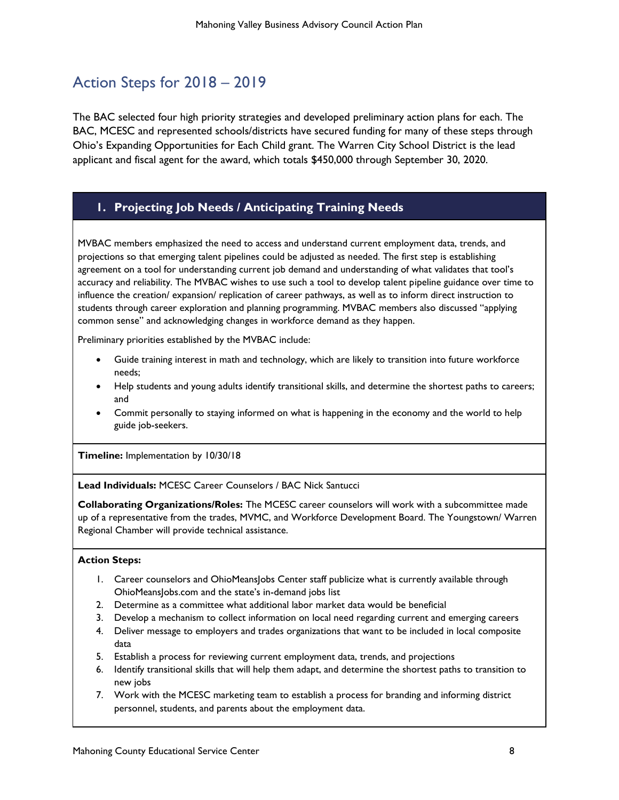# <span id="page-8-0"></span>Action Steps for 2018 – 2019

The BAC selected four high priority strategies and developed preliminary action plans for each. The BAC, MCESC and represented schools/districts have secured funding for many of these steps through Ohio's Expanding Opportunities for Each Child grant. The Warren City School District is the lead applicant and fiscal agent for the award, which totals \$450,000 through September 30, 2020.

## <span id="page-8-1"></span>**1. Projecting Job Needs / Anticipating Training Needs**

MVBAC members emphasized the need to access and understand current employment data, trends, and projections so that emerging talent pipelines could be adjusted as needed. The first step is establishing agreement on a tool for understanding current job demand and understanding of what validates that tool's accuracy and reliability. The MVBAC wishes to use such a tool to develop talent pipeline guidance over time to influence the creation/ expansion/ replication of career pathways, as well as to inform direct instruction to students through career exploration and planning programming. MVBAC members also discussed "applying common sense" and acknowledging changes in workforce demand as they happen.

Preliminary priorities established by the MVBAC include:

- Guide training interest in math and technology, which are likely to transition into future workforce needs;
- Help students and young adults identify transitional skills, and determine the shortest paths to careers; and
- Commit personally to staying informed on what is happening in the economy and the world to help guide job-seekers.

**Timeline:** Implementation by 10/30/18

**Lead Individuals:** MCESC Career Counselors / BAC Nick Santucci

**Collaborating Organizations/Roles:** The MCESC career counselors will work with a subcommittee made up of a representative from the trades, MVMC, and Workforce Development Board. The Youngstown/ Warren Regional Chamber will provide technical assistance.

#### **Action Steps:**

- 1. Career counselors and OhioMeansJobs Center staff publicize what is currently available through OhioMeansJobs.com and the state's in-demand jobs list
- 2. Determine as a committee what additional labor market data would be beneficial
- 3. Develop a mechanism to collect information on local need regarding current and emerging careers
- 4. Deliver message to employers and trades organizations that want to be included in local composite data
- 5. Establish a process for reviewing current employment data, trends, and projections
- 6. Identify transitional skills that will help them adapt, and determine the shortest paths to transition to new jobs
- 7. Work with the MCESC marketing team to establish a process for branding and informing district personnel, students, and parents about the employment data.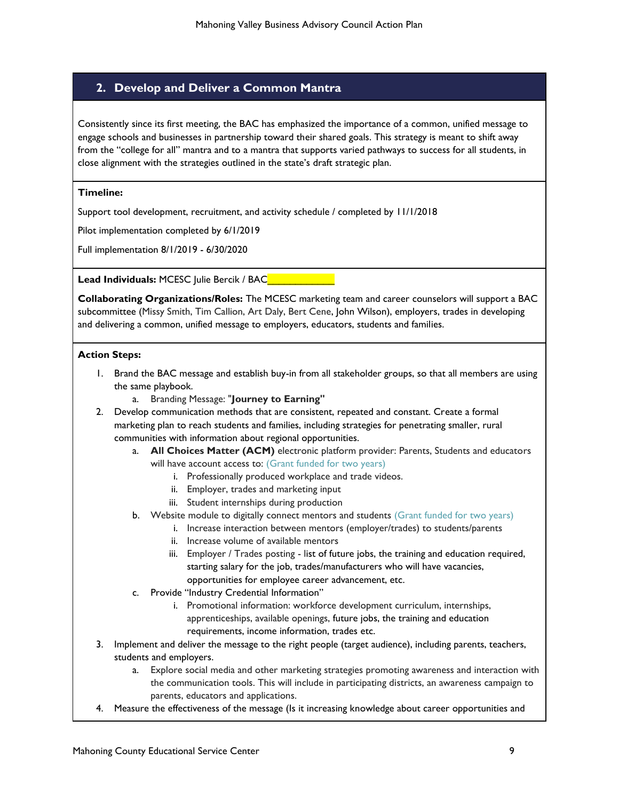### <span id="page-9-0"></span>**2. Develop and Deliver a Common Mantra**

Consistently since its first meeting, the BAC has emphasized the importance of a common, unified message to engage schools and businesses in partnership toward their shared goals. This strategy is meant to shift away from the "college for all" mantra and to a mantra that supports varied pathways to success for all students, in close alignment with the strategies outlined in the state's draft strategic plan.

#### **Timeline:**

Support tool development, recruitment, and activity schedule / completed by 11/1/2018

Pilot implementation completed by 6/1/2019

Full implementation 8/1/2019 - 6/30/2020

Lead Individuals: MCESC Julie Bercik / BAC

**Collaborating Organizations/Roles:** The MCESC marketing team and career counselors will support a BAC subcommittee (Missy Smith, Tim Callion, Art Daly, Bert Cene, John Wilson), employers, trades in developing and delivering a common, unified message to employers, educators, students and families.

#### **Action Steps:**

- 1. Brand the BAC message and establish buy-in from all stakeholder groups, so that all members are using the same playbook.
	- a. Branding Message: "**Journey to Earning"**
- 2. Develop communication methods that are consistent, repeated and constant. Create a formal marketing plan to reach students and families, including strategies for penetrating smaller, rural communities with information about regional opportunities.
	- a. **All Choices Matter (ACM)** electronic platform provider: Parents, Students and educators will have account access to: (Grant funded for two years)
		- i. Professionally produced workplace and trade videos.
		- ii. Employer, trades and marketing input
		- iii. Student internships during production
	- b. Website module to digitally connect mentors and students (Grant funded for two years)
		- i. Increase interaction between mentors (employer/trades) to students/parents
			- ii. Increase volume of available mentors
			- iii. Employer / Trades posting list of future jobs, the training and education required, starting salary for the job, trades/manufacturers who will have vacancies, opportunities for employee career advancement, etc.
	- c. Provide "Industry Credential Information"
		- i. Promotional information: workforce development curriculum, internships, apprenticeships, available openings, future jobs, the training and education requirements, income information, trades etc.
- 3. Implement and deliver the message to the right people (target audience), including parents, teachers, students and employers.
	- a. Explore social media and other marketing strategies promoting awareness and interaction with the communication tools. This will include in participating districts, an awareness campaign to parents, educators and applications.
- 4. Measure the effectiveness of the message (Is it increasing knowledge about career opportunities and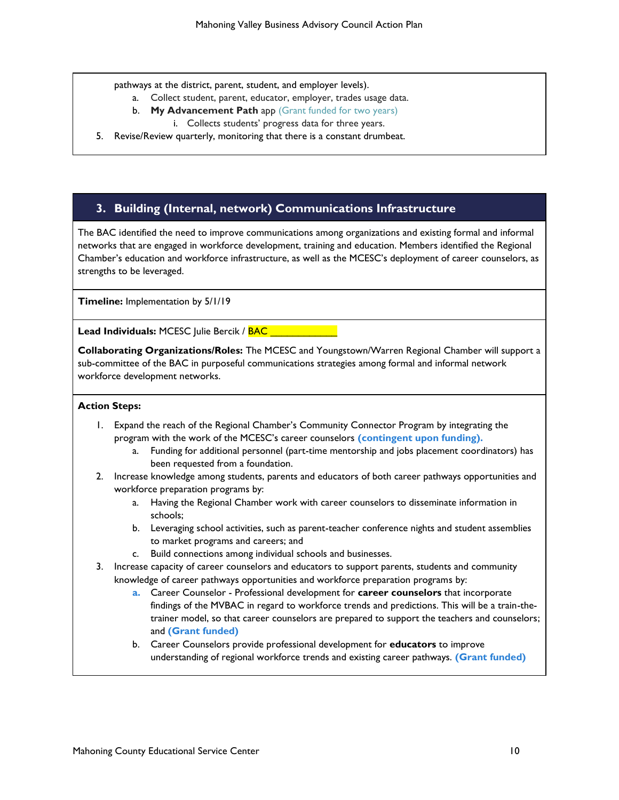pathways at the district, parent, student, and employer levels).

- a. Collect student, parent, educator, employer, trades usage data.
- b. **My Advancement Path** app (Grant funded for two years)
	- i. Collects students' progress data for three years.
- 5. Revise/Review quarterly, monitoring that there is a constant drumbeat.

## <span id="page-10-0"></span>**3. Building (Internal, network) Communications Infrastructure**

The BAC identified the need to improve communications among organizations and existing formal and informal networks that are engaged in workforce development, training and education. Members identified the Regional Chamber's education and workforce infrastructure, as well as the MCESC's deployment of career counselors, as strengths to be leveraged.

**Timeline:** Implementation by 5/1/19

Lead Individuals: MCESC Julie Bercik / **BAC** \_\_\_\_

**Collaborating Organizations/Roles:** The MCESC and Youngstown/Warren Regional Chamber will support a sub-committee of the BAC in purposeful communications strategies among formal and informal network workforce development networks.

#### **Action Steps:**

- 1. Expand the reach of the Regional Chamber's Community Connector Program by integrating the program with the work of the MCESC's career counselors **(contingent upon funding).**
	- a. Funding for additional personnel (part-time mentorship and jobs placement coordinators) has been requested from a foundation.
- 2. Increase knowledge among students, parents and educators of both career pathways opportunities and workforce preparation programs by:
	- a. Having the Regional Chamber work with career counselors to disseminate information in schools;
	- b. Leveraging school activities, such as parent-teacher conference nights and student assemblies to market programs and careers; and
	- c. Build connections among individual schools and businesses.
- 3. Increase capacity of career counselors and educators to support parents, students and community knowledge of career pathways opportunities and workforce preparation programs by:
	- **a.** Career Counselor Professional development for **career counselors** that incorporate findings of the MVBAC in regard to workforce trends and predictions. This will be a train-thetrainer model, so that career counselors are prepared to support the teachers and counselors; and **(Grant funded)**
	- b. Career Counselors provide professional development for **educators** to improve understanding of regional workforce trends and existing career pathways. **(Grant funded)**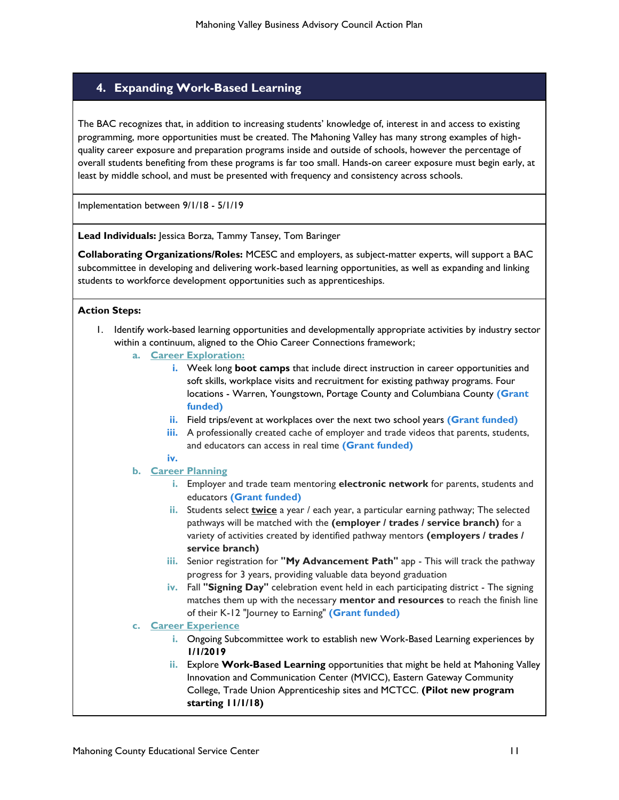### <span id="page-11-0"></span>**4. Expanding Work-Based Learning**

The BAC recognizes that, in addition to increasing students' knowledge of, interest in and access to existing programming, more opportunities must be created. The Mahoning Valley has many strong examples of highquality career exposure and preparation programs inside and outside of schools, however the percentage of overall students benefiting from these programs is far too small. Hands-on career exposure must begin early, at least by middle school, and must be presented with frequency and consistency across schools.

Implementation between 9/1/18 - 5/1/19

**Lead Individuals:** Jessica Borza, Tammy Tansey, Tom Baringer

**Collaborating Organizations/Roles:** MCESC and employers, as subject-matter experts, will support a BAC subcommittee in developing and delivering work-based learning opportunities, as well as expanding and linking students to workforce development opportunities such as apprenticeships.

#### **Action Steps:**

- 1. Identify work-based learning opportunities and developmentally appropriate activities by industry sector within a continuum, aligned to the Ohio Career Connections framework;
	- **a. Career Exploration:**
		- **i.** Week long **boot camps** that include direct instruction in career opportunities and soft skills, workplace visits and recruitment for existing pathway programs. Four locations - Warren, Youngstown, Portage County and Columbiana County **(Grant funded)**
		- **ii.** Field trips/event at workplaces over the next two school years **(Grant funded)**
		- **iii.** A professionally created cache of employer and trade videos that parents, students, and educators can access in real time **(Grant funded)**

#### **iv.**

#### **b. Career Planning**

- **i.** Employer and trade team mentoring **electronic network** for parents, students and educators **(Grant funded)**
- **ii.** Students select **twice** a year / each year, a particular earning pathway; The selected pathways will be matched with the **(employer / trades / service branch)** for a variety of activities created by identified pathway mentors **(employers / trades / service branch)**
- **iii.** Senior registration for **"My Advancement Path"** app This will track the pathway progress for 3 years, providing valuable data beyond graduation
- **iv.** Fall **"Signing Day"** celebration event held in each participating district The signing matches them up with the necessary **mentor and resources** to reach the finish line of their K-12 "Journey to Earning" **(Grant funded)**

#### **c. Career Experience**

- **i.** Ongoing Subcommittee work to establish new Work-Based Learning experiences by **1/1/2019**
- **ii.** Explore **Work-Based Learning** opportunities that might be held at Mahoning Valley Innovation and Communication Center (MVICC), Eastern Gateway Community College, Trade Union Apprenticeship sites and MCTCC. **(Pilot new program starting 11/1/18)**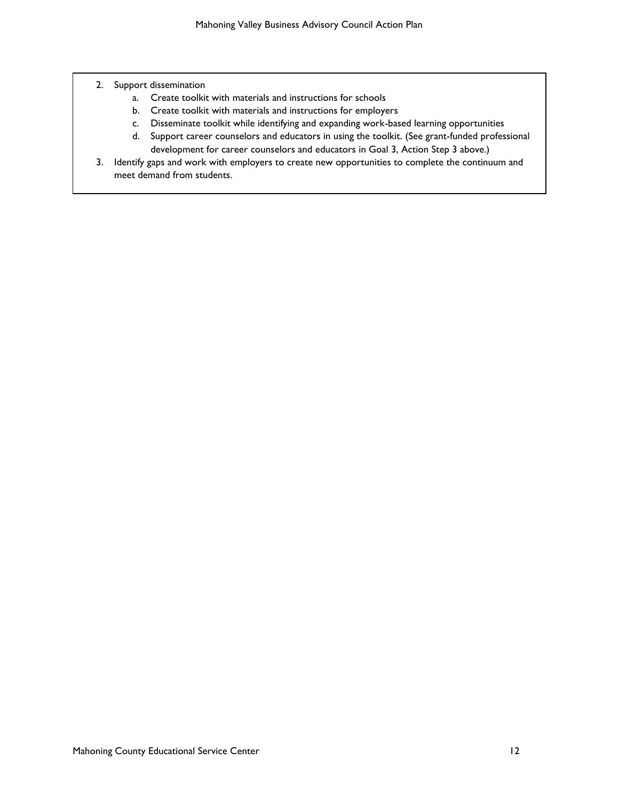- 2. Support dissemination
	- a. Create toolkit with materials and instructions for schools
	- b. Create toolkit with materials and instructions for employers
	- c. Disseminate toolkit while identifying and expanding work-based learning opportunities
	- d. Support career counselors and educators in using the toolkit. (See grant-funded professional development for career counselors and educators in Goal 3, Action Step 3 above.)
- 3. Identify gaps and work with employers to create new opportunities to complete the continuum and meet demand from students.